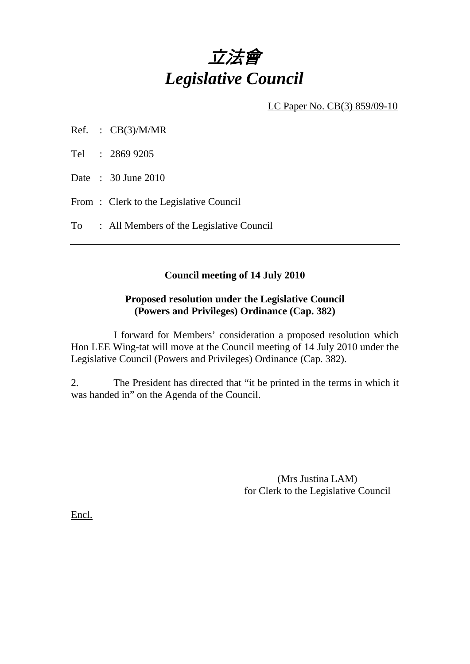

LC Paper No. CB(3) 859/09-10

- Ref. :  $CB(3)/M/MR$
- Tel : 2869 9205
- Date : 30 June 2010
- From : Clerk to the Legislative Council

To : All Members of the Legislative Council

## **Council meeting of 14 July 2010**

## **Proposed resolution under the Legislative Council (Powers and Privileges) Ordinance (Cap. 382)**

 I forward for Members' consideration a proposed resolution which Hon LEE Wing-tat will move at the Council meeting of 14 July 2010 under the Legislative Council (Powers and Privileges) Ordinance (Cap. 382).

2. The President has directed that "it be printed in the terms in which it was handed in" on the Agenda of the Council.

> (Mrs Justina LAM) for Clerk to the Legislative Council

Encl.